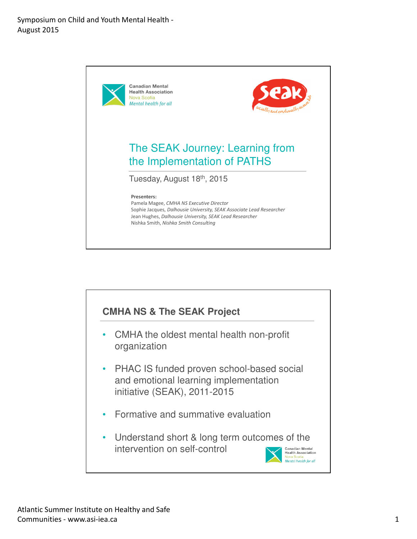

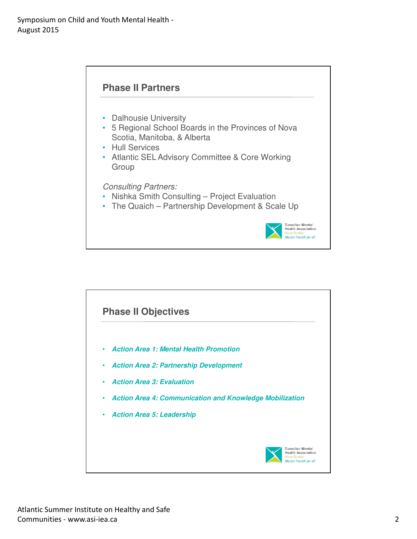

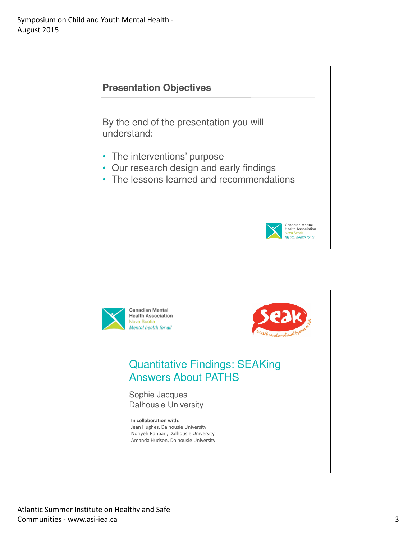

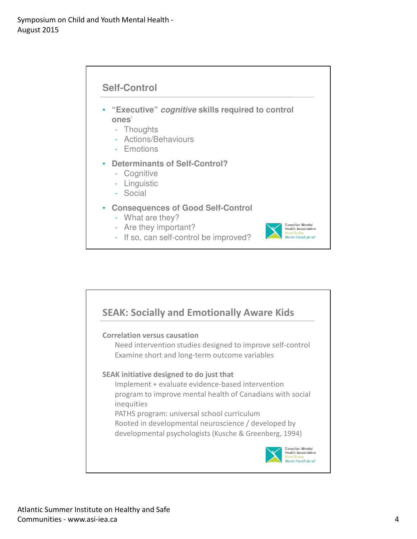

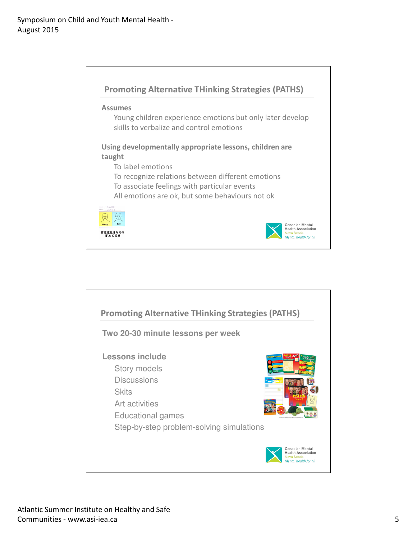

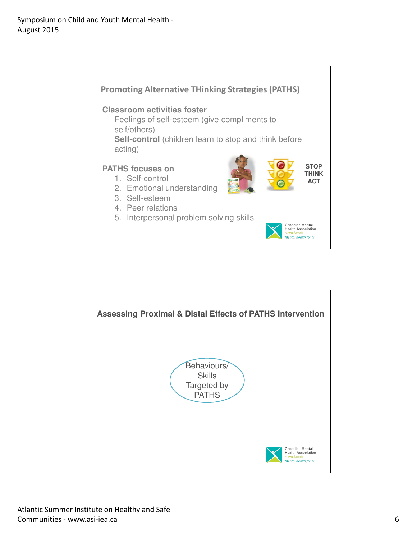

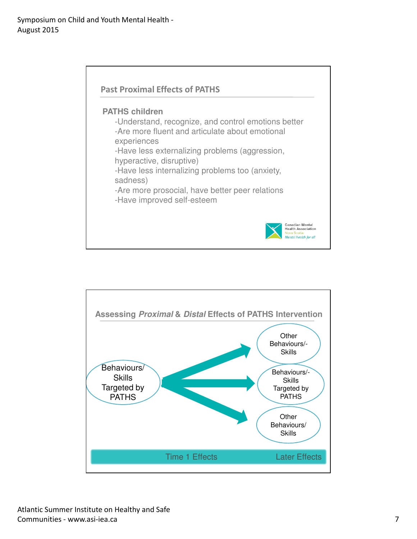

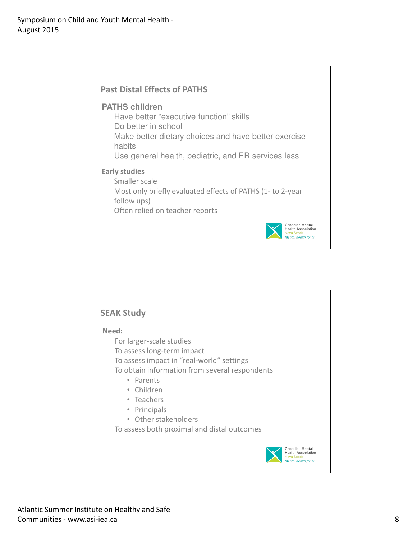

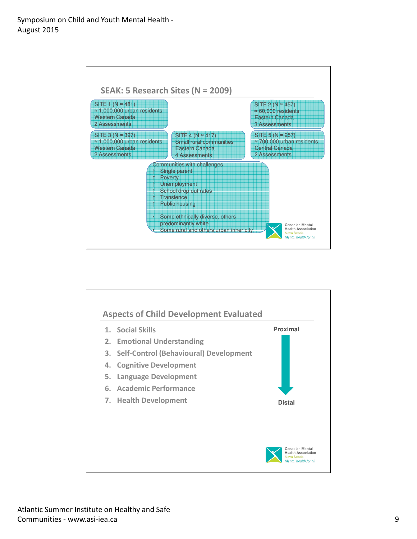

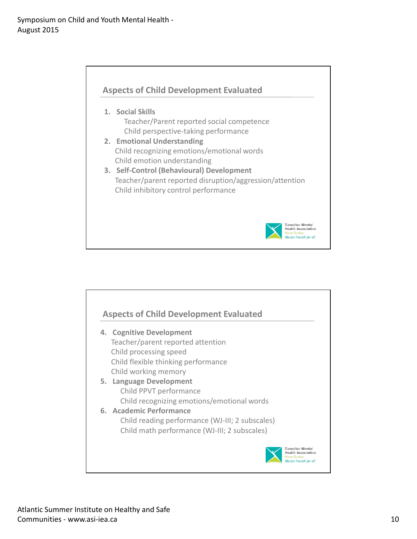

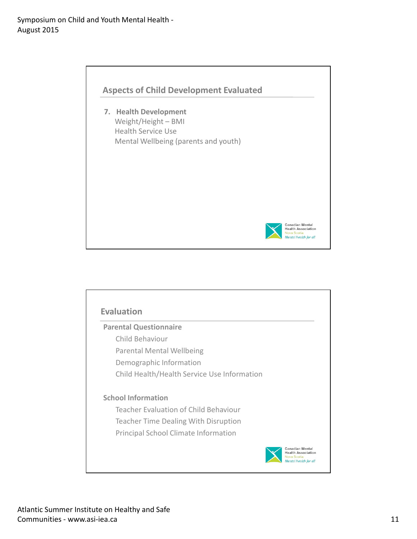

| <b>Parental Questionnaire</b>               |  |
|---------------------------------------------|--|
| Child Behaviour                             |  |
| <b>Parental Mental Wellbeing</b>            |  |
| Demographic Information                     |  |
| Child Health/Health Service Use Information |  |
| <b>School Information</b>                   |  |
| Teacher Evaluation of Child Behaviour       |  |
| <b>Teacher Time Dealing With Disruption</b> |  |
| <b>Principal School Climate Information</b> |  |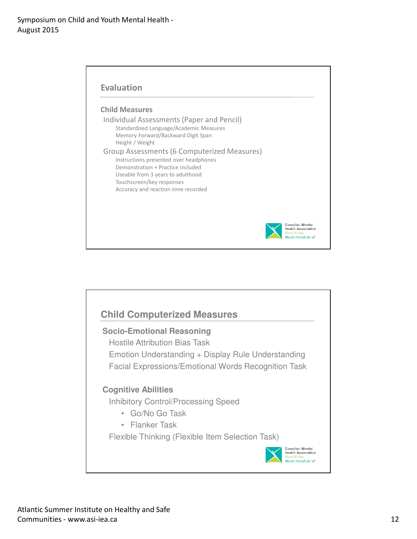

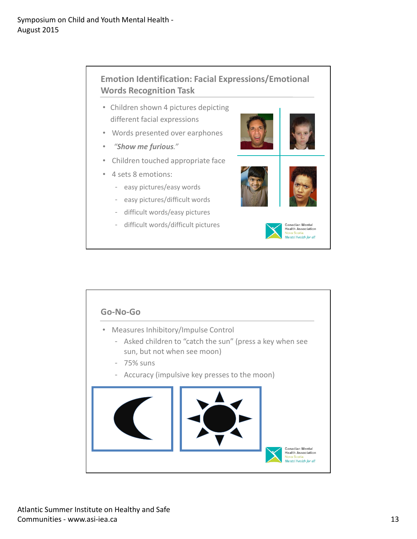

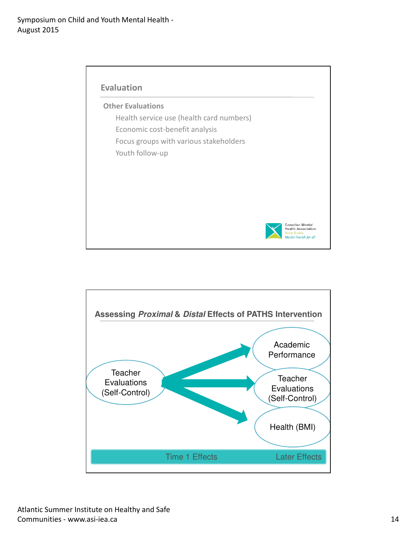

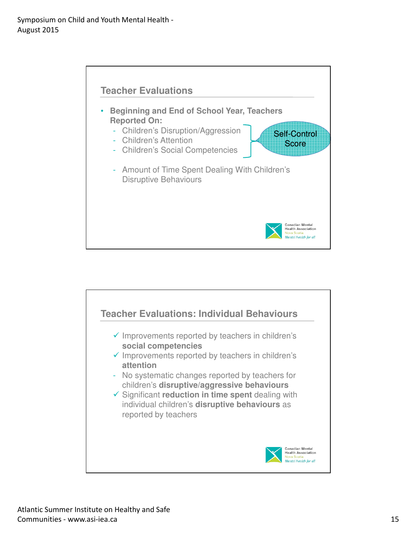

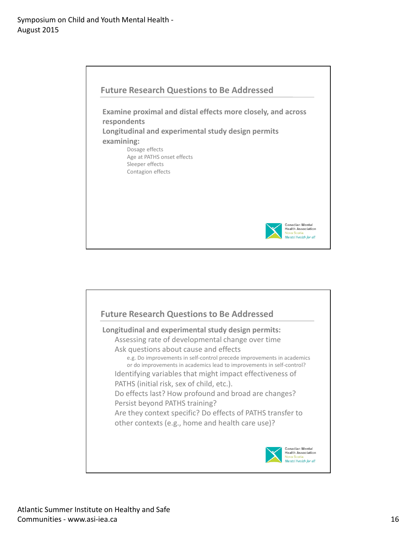

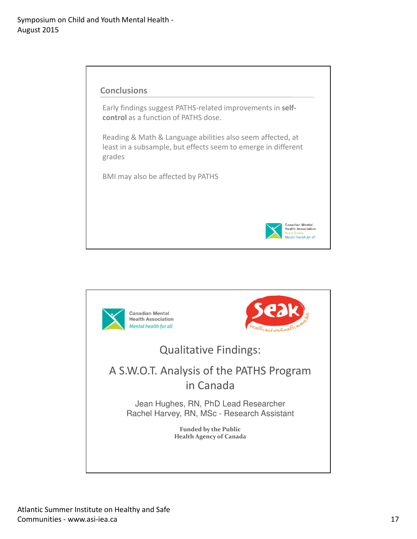

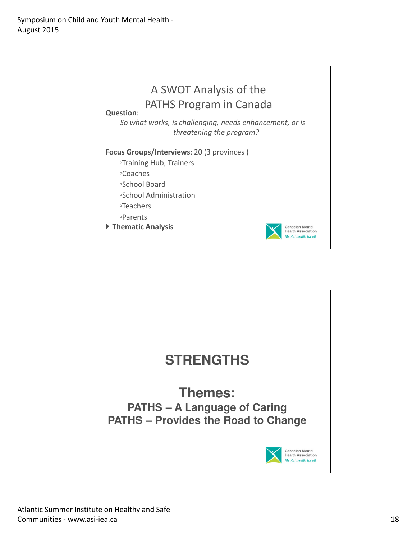

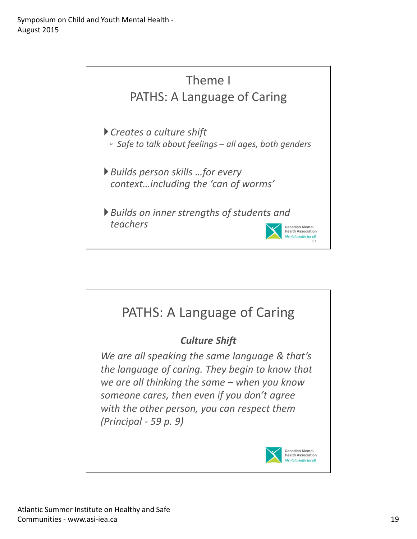

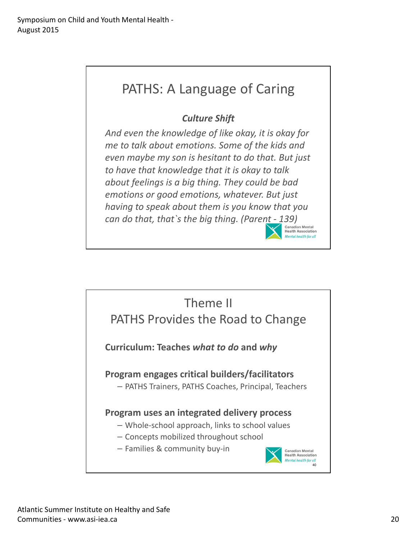# PATHS: A Language of Caring

## Culture Shift

And even the knowledge of like okay, it is okay for me to talk about emotions. Some of the kids and even maybe my son is hesitant to do that. But just to have that knowledge that it is okay to talk about feelings is a big thing. They could be bad emotions or good emotions, whatever. But just having to speak about them is you know that you can do that, that s the big thing. (Parent - 139)



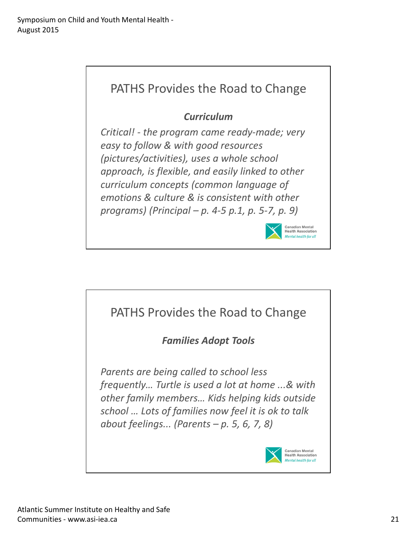

### **Curriculum**

Critical! - the program came ready-made; very easy to follow & with good resources (pictures/activities), uses a whole school approach, is flexible, and easily linked to other curriculum concepts (common language of emotions & culture & is consistent with other programs) (Principal – p. 4-5 p.1, p. 5-7, p. 9)



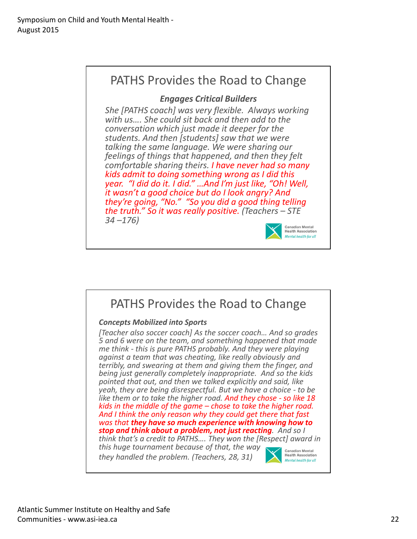# PATHS Provides the Road to Change

### Engages Critical Builders

She [PATHS coach] was very flexible. Always working with us…. She could sit back and then add to the conversation which just made it deeper for the students. And then [students] saw that we were talking the same language. We were sharing our feelings of things that happened, and then they felt comfortable sharing theirs. I have never had so many kids admit to doing something wrong as I did this year. "I did do it. I did." …And I'm just like, "Oh! Well, it wasn't a good choice but do I look angry? And they're going, "No." "So you did a good thing telling the truth." So it was really positive. (Teachers – STE  $34 - 176$ 



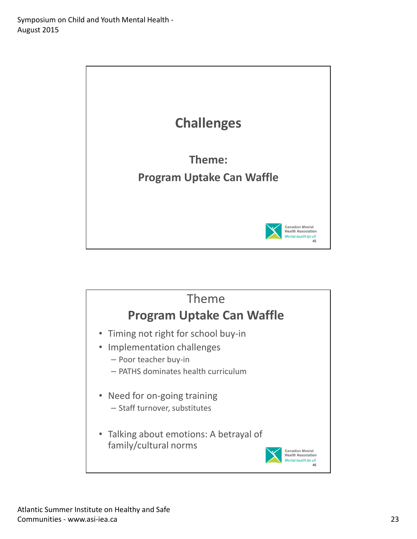

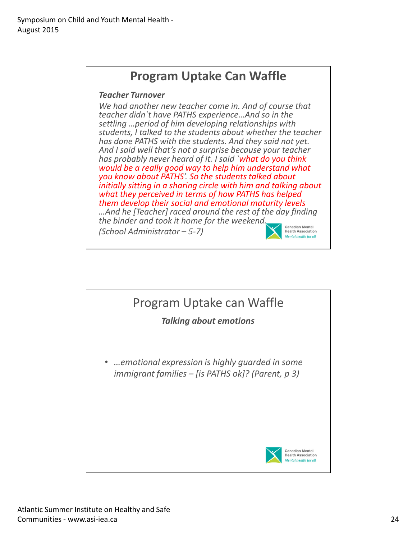

#### Teacher Turnover

We had another new teacher come in. And of course that teacher didn`t have PATHS experience…And so in the settling …period of him developing relationships with students, I talked to the students about whether the teacher has done PATHS with the students. And they said not yet. And I said well that's not a surprise because your teacher has probably never heard of it. I said `what do you think would be a really good way to help him understand what you know about PATHS'. So the students talked about initially sitting in a sharing circle with him and talking about what they perceived in terms of how PATHS has helped them develop their social and emotional maturity levels …And he [Teacher] raced around the rest of the day finding the binder and took it home for the weekend. **Canadian Mental** (School Administrator – 5-7) **Health Association Mental health for all** 

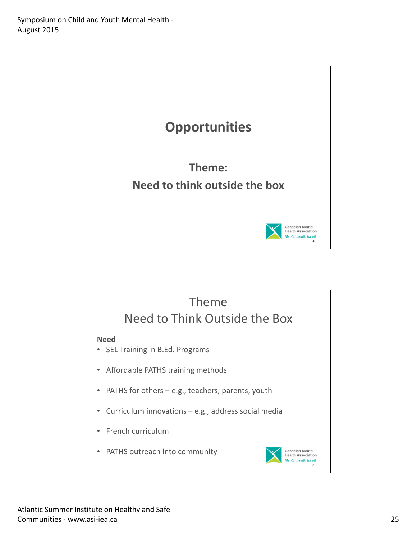

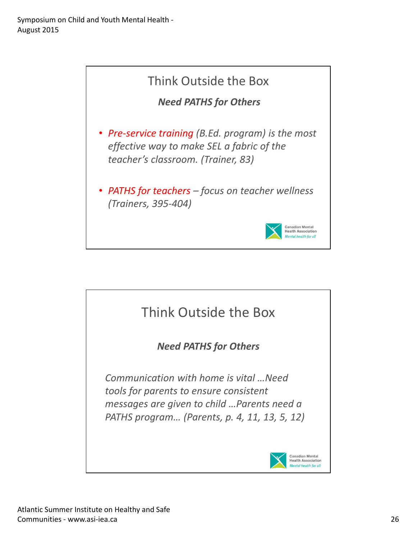

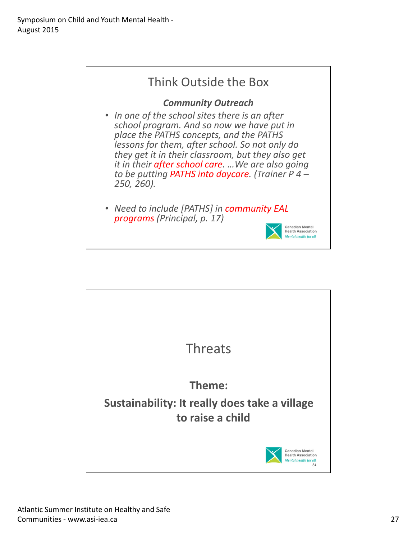

they get it in their classroom, but they also get it in their after school care. …We are also going to be putting PATHS into daycare. (Trainer P 4 – 250, 260).

• Need to include [PATHS] in community EAL programs (Principal, p. 17)



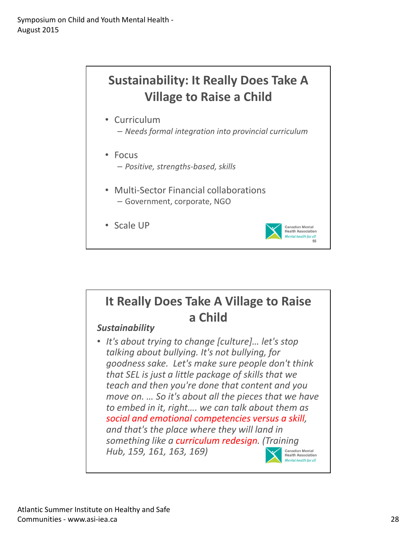

### It Really Does Take A Village to Raise a Child **Sustainability** • It's about trying to change [culture]… let's stop talking about bullying. It's not bullying, for goodness sake. Let's make sure people don't think that SEL is just a little package of skills that we teach and then you're done that content and you move on. … So it's about all the pieces that we have to embed in it, right…. we can talk about them as social and emotional competencies versus a skill, and that's the place where they will land in something like a curriculum redesign. (Training Hub, 159, 161, 163, 169) **Canadian Mental**<br>Health Association Mental health for all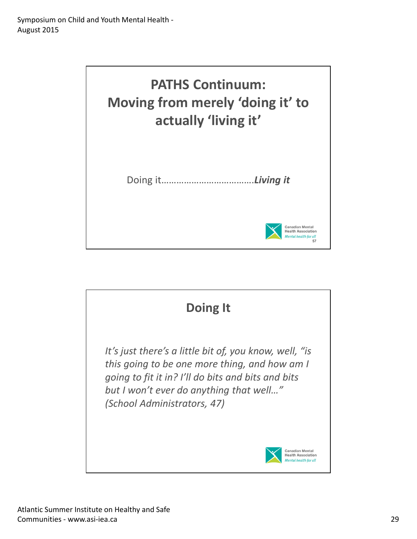

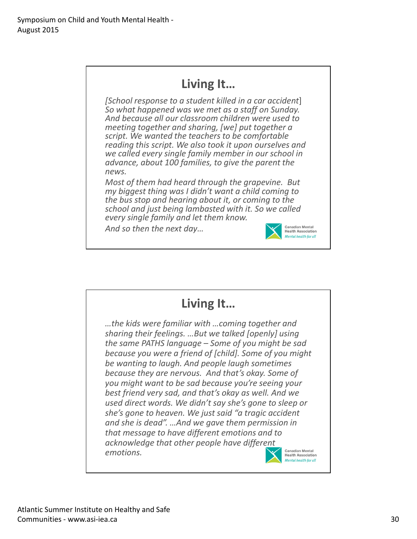# Living It…

[School response to a student killed in a car accident] So what happened was we met as a staff on Sunday. And because all our classroom children were used to meeting together and sharing, [we] put together a script. We wanted the teachers to be comfortable reading this script. We also took it upon ourselves and we called every single family member in our school in advance, about 100 families, to give the parent the news.

Most of them had heard through the grapevine. But my biggest thing was I didn't want a child coming to the bus stop and hearing about it, or coming to the school and just being lambasted with it. So we called every single family and let them know.

And so then the next day…



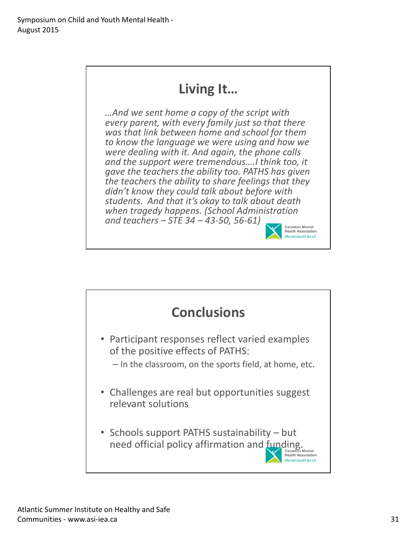# Living It…

…And we sent home a copy of the script with every parent, with every family just so that there was that link between home and school for them to know the language we were using and how we were dealing with it. And again, the phone calls and the support were tremendous….I think too, it gave the teachers the ability too. PATHS has given the teachers the ability to share feelings that they didn't know they could talk about before with students. And that it's okay to talk about death when tragedy happens. (School Administration and teachers – STE 34 – 43-50, 56-61)



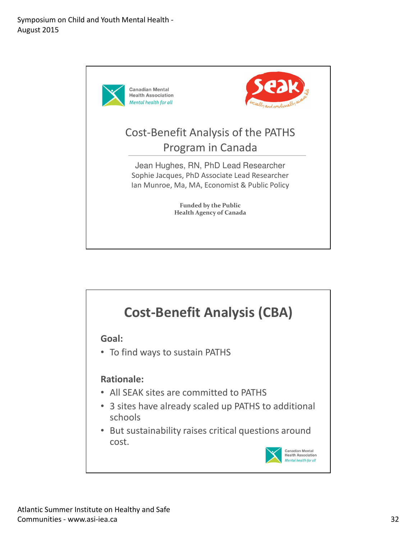

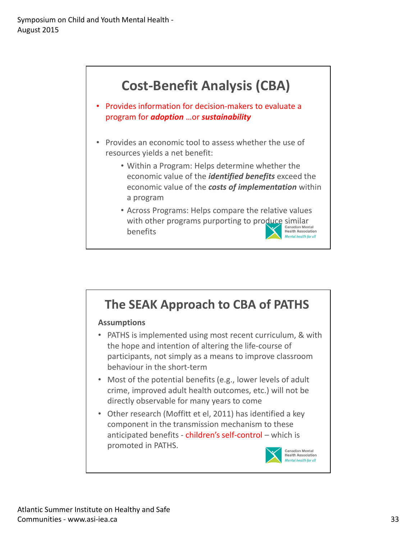

## The SEAK Approach to CBA of PATHS **Assumptions** • PATHS is implemented using most recent curriculum, & with the hope and intention of altering the life-course of participants, not simply as a means to improve classroom behaviour in the short-term • Most of the potential benefits (e.g., lower levels of adult crime, improved adult health outcomes, etc.) will not be directly observable for many years to come • Other research (Moffitt et el, 2011) has identified a key component in the transmission mechanism to these anticipated benefits - children's self-control – which is promoted in PATHS.**Canadian Mental**<br>Health Association Mental health for all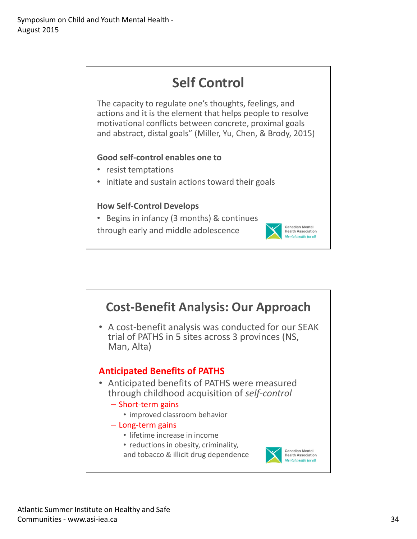

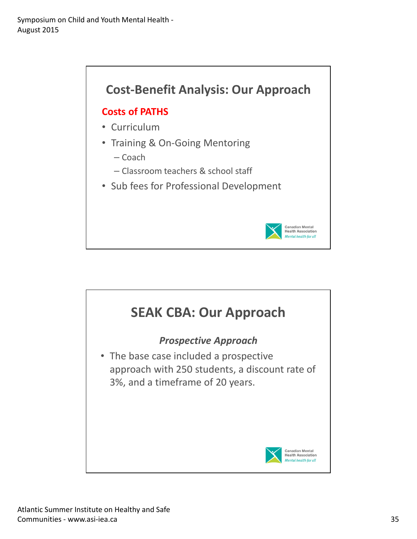

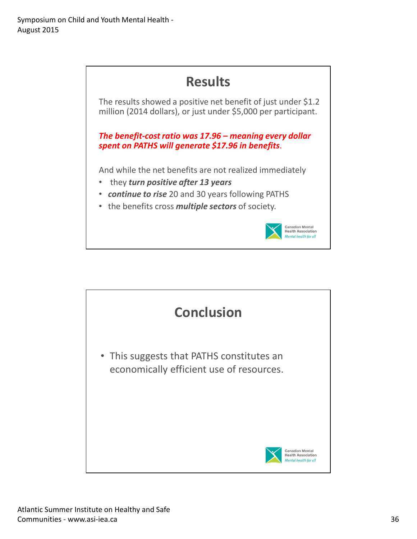

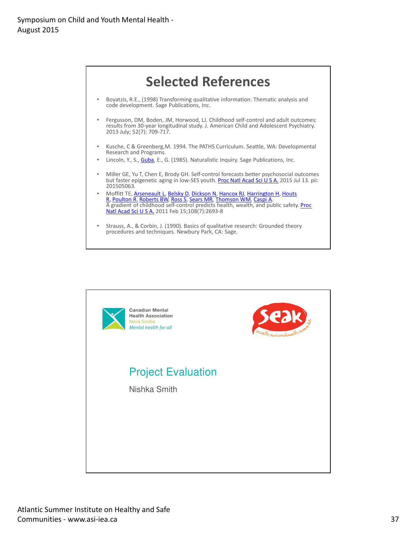

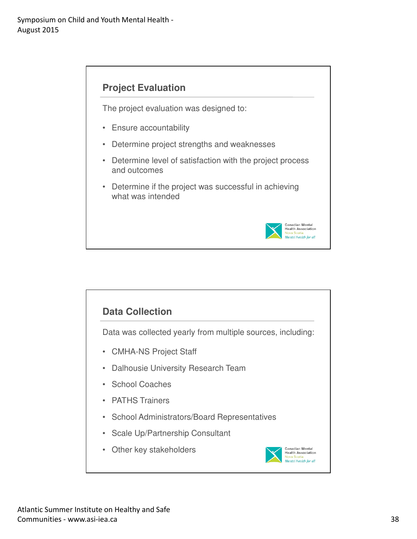

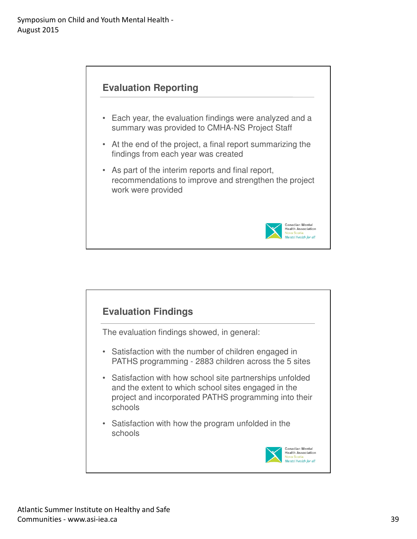

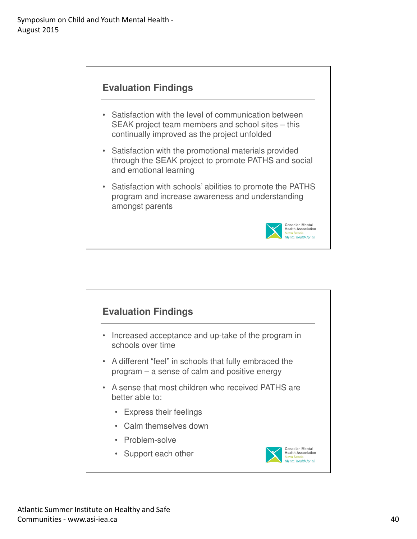



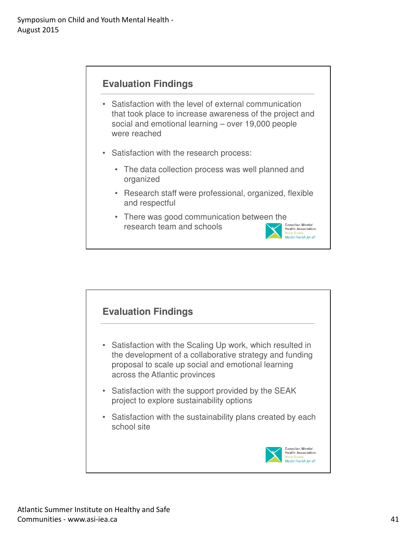- Satisfaction with the level of external communication that took place to increase awareness of the project and social and emotional learning – over 19,000 people were reached
- Satisfaction with the research process:
	- The data collection process was well planned and organized
	- Research staff were professional, organized, flexible and respectful

Mental health for all

• There was good communication between the<br>research team and schools research team and schools

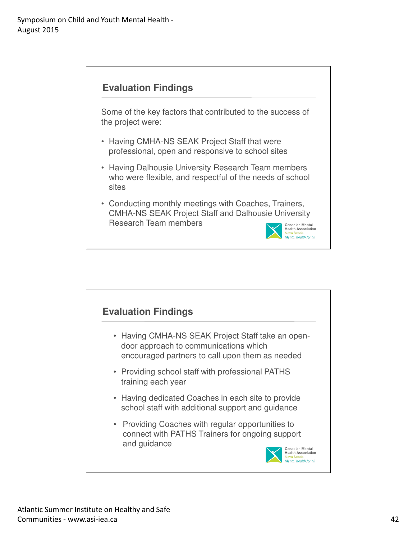

Some of the key factors that contributed to the success of the project were:

- Having CMHA-NS SEAK Project Staff that were professional, open and responsive to school sites
- Having Dalhousie University Research Team members who were flexible, and respectful of the needs of school sites
- Conducting monthly meetings with Coaches, Trainers, CMHA-NS SEAK Project Staff and Dalhousie University Research Team members



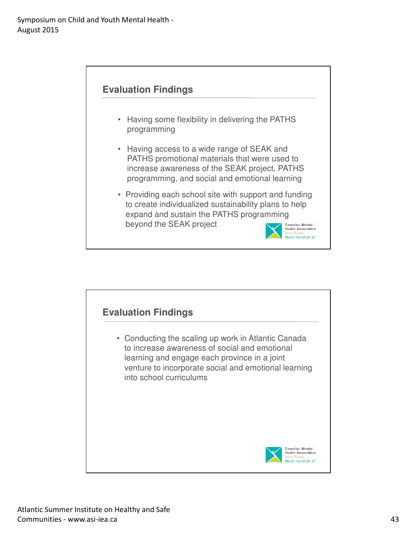

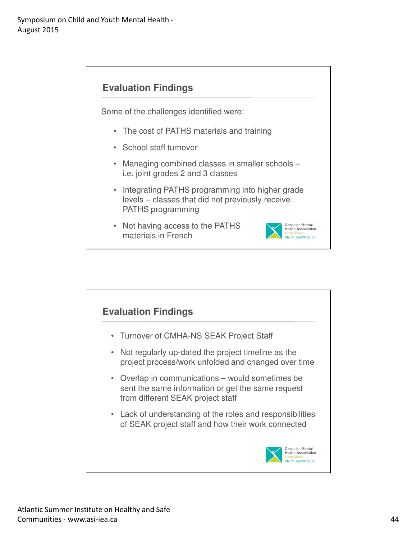Some of the challenges identified were:

- The cost of PATHS materials and training
- School staff turnover
- Managing combined classes in smaller schools i.e. joint grades 2 and 3 classes
- Integrating PATHS programming into higher grade levels – classes that did not previously receive PATHS programming
- Not having access to the PATHS materials in French



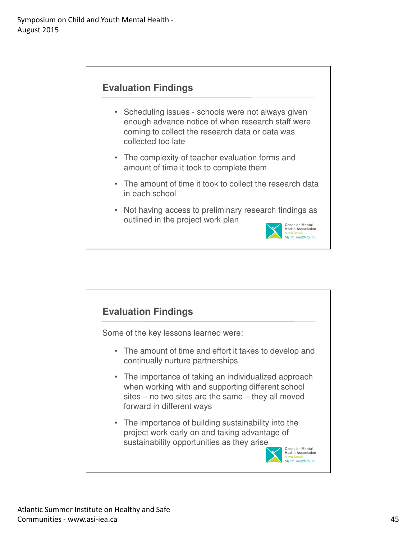![](_page_44_Figure_1.jpeg)

- Scheduling issues schools were not always given enough advance notice of when research staff were coming to collect the research data or data was collected too late
- The complexity of teacher evaluation forms and amount of time it took to complete them
- The amount of time it took to collect the research data in each school
- Not having access to preliminary research findings as outlined in the project work plan

![](_page_44_Picture_6.jpeg)

![](_page_44_Figure_7.jpeg)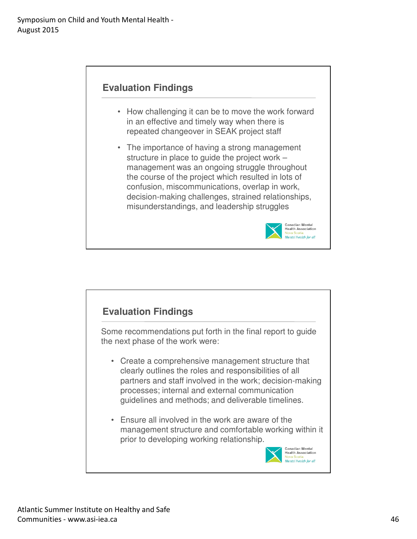- How challenging it can be to move the work forward in an effective and timely way when there is repeated changeover in SEAK project staff
- The importance of having a strong management structure in place to guide the project work – management was an ongoing struggle throughout the course of the project which resulted in lots of confusion, miscommunications, overlap in work, decision-making challenges, strained relationships, misunderstandings, and leadership struggles

![](_page_45_Picture_4.jpeg)

![](_page_45_Picture_5.jpeg)